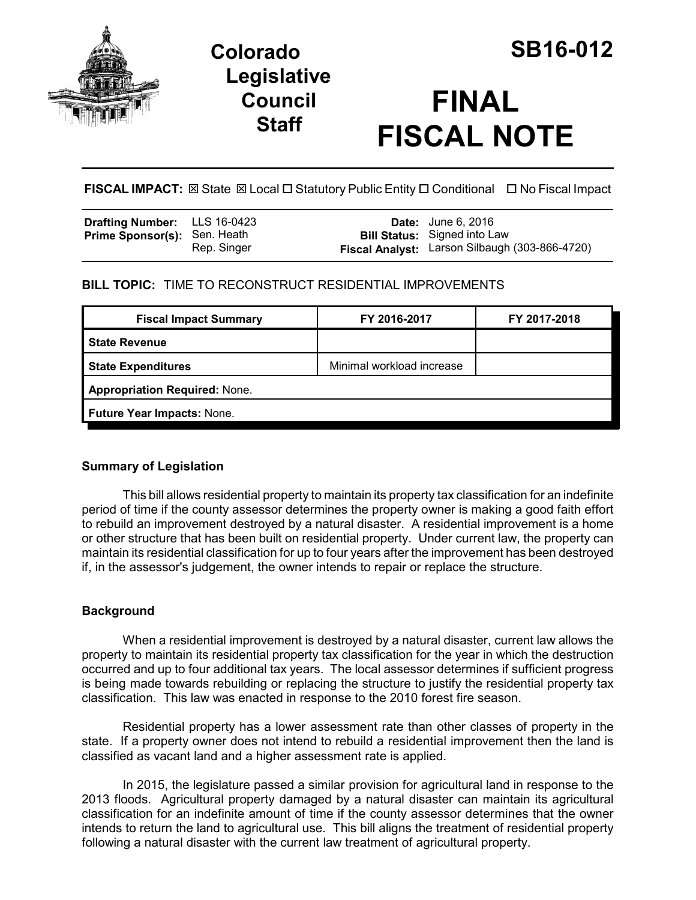

# **Colorado SB16-012 Legislative Council Staff**

# **FINAL FISCAL NOTE**

**FISCAL IMPACT:** ⊠ State ⊠ Local □ Statutory Public Entity □ Conditional □ No Fiscal Impact

| <b>Drafting Number:</b> LLS 16-0423 |             | <b>Date:</b> June 6, 2016                      |
|-------------------------------------|-------------|------------------------------------------------|
| <b>Prime Sponsor(s): Sen. Heath</b> |             | <b>Bill Status:</b> Signed into Law            |
|                                     | Rep. Singer | Fiscal Analyst: Larson Silbaugh (303-866-4720) |

# **BILL TOPIC:** TIME TO RECONSTRUCT RESIDENTIAL IMPROVEMENTS

|                                      | FY 2017-2018 |  |  |  |
|--------------------------------------|--------------|--|--|--|
|                                      |              |  |  |  |
| Minimal workload increase            |              |  |  |  |
| <b>Appropriation Required: None.</b> |              |  |  |  |
| Future Year Impacts: None.           |              |  |  |  |
|                                      |              |  |  |  |

## **Summary of Legislation**

This bill allows residential property to maintain its property tax classification for an indefinite period of time if the county assessor determines the property owner is making a good faith effort to rebuild an improvement destroyed by a natural disaster. A residential improvement is a home or other structure that has been built on residential property. Under current law, the property can maintain its residential classification for up to four years after the improvement has been destroyed if, in the assessor's judgement, the owner intends to repair or replace the structure.

## **Background**

When a residential improvement is destroyed by a natural disaster, current law allows the property to maintain its residential property tax classification for the year in which the destruction occurred and up to four additional tax years. The local assessor determines if sufficient progress is being made towards rebuilding or replacing the structure to justify the residential property tax classification. This law was enacted in response to the 2010 forest fire season.

Residential property has a lower assessment rate than other classes of property in the state. If a property owner does not intend to rebuild a residential improvement then the land is classified as vacant land and a higher assessment rate is applied.

In 2015, the legislature passed a similar provision for agricultural land in response to the 2013 floods. Agricultural property damaged by a natural disaster can maintain its agricultural classification for an indefinite amount of time if the county assessor determines that the owner intends to return the land to agricultural use. This bill aligns the treatment of residential property following a natural disaster with the current law treatment of agricultural property.